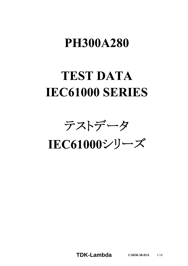# **PH300A280**

# **TEST DATA** IEC61000 SERIES

テストデータ

IEC61000シリーズ

**TDK-Lambda CA836-58-01A** 1/18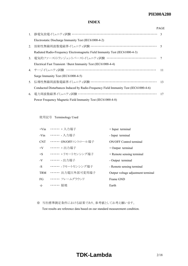### *RWS 50B-600B Series* **PH300A280**

#### **INDEX**

|    |                                                                                      | <b>PAGE</b> |
|----|--------------------------------------------------------------------------------------|-------------|
| 1. |                                                                                      |             |
|    | Electrostatic Discharge Immunity Test (IEC61000-4-2)                                 |             |
| 2. | 放射性無線周波数電磁界イミュニティ試験 ………………………………………………… 5                                            |             |
|    | Radiated Radio-Frequency Electromagnetic Field Immunity Test (IEC61000-4-3)          |             |
|    | 3. 電気的ファーストトランジェントバーストイミュニティ試験 …………………………………                                         |             |
|    | Electrical Fast Transient / Burst Immunity Test (IEC61000-4-4)                       |             |
|    | 4. サージイミュニティ試験 ……………………………………………………………                                               | 11          |
|    | Surge Immunity Test (IEC61000-4-5)                                                   |             |
|    | 5. 伝導性無線周波数電磁界イミュニティ試験 ………………………………………………… 13                                        |             |
|    | Conducted Disturbances Induced by Radio-Frequency Field Immunity Test (IEC61000-4-6) |             |
|    | 6. 電力周波数磁界イミュニティ試験 …………………………………………………………                                            | 17          |
|    | Power Frequency Magnetic Field Immunity Test (IEC61000-4-8)                          |             |

使用記号 Terminology Used

| $+V$ in | $\cdots$ … + 入力端子    | $+$ Input terminal                 |
|---------|----------------------|------------------------------------|
| -Vin    | •••••• - 入力端子        | - Input terminal                   |
| CNT)    | …… ON/OFFコントロール端子    | <b>ON/OFF Control terminal</b>     |
| $+V$    | ・・・・・・ + 出力端子        | $+$ Output terminal                |
| $+$ S   | ・・・・・・ + リモートセンシング端子 | + Remote sensing terminal          |
| $-V$    | ……… 出力端子             | - Output terminal                  |
| $-S$    | ・・・・・・ - リモートセンシング端子 | - Remote sensing terminal          |
| TRM     | …… 出力電圧外部可変用端子       | Output voltage adjustment terminal |
| FG      | ・・・・・・・ フレームグラウンド    | Frame GND                          |
| $\div$  | ・・・・・・ 接地            | Earth                              |

※ 当社標準測定条件における結果であり、参考値としてお考え願います。

Test results are reference data based on our standard measurement condition.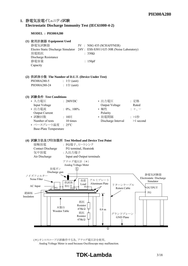#### 1. 静電気放電イミュニティ試験 **Electrostatic Discharge Immunity Test (IEC61000-4-2)**

#### **MODEL : PH300A280**

| (1) 使用計測器 Equipment Used<br>静電気試験器<br>Electro Static Discharge Simulator<br>放電抵抗<br>Discharge Resistance<br>静電容量<br>Capacity                                                                           |                                                       | : $330\Omega$<br>: $150pF$ | 5V : NSG 435 (SCHAFFNER)<br>24V: ESS-S3011/GT-30R (Noise Laboratory)                 |                                         |
|--------------------------------------------------------------------------------------------------------------------------------------------------------------------------------------------------------|-------------------------------------------------------|----------------------------|--------------------------------------------------------------------------------------|-----------------------------------------|
| (2) 供試体台数 The Number of D.U.T. (Device Under Test)<br>PH300A280-5 : 1台 (unit)<br>PH300A280-24 : 1台 (unit)                                                                                              |                                                       |                            |                                                                                      |                                         |
| (3) 試験条件 Test Conditions<br>• 入力電圧<br>Input Voltage<br>• 出力電流<br><b>Output Current</b><br>• 試験回数<br>$\therefore 10$<br>Number of tests 10 times<br>• ベースプレート温度 : 25°C<br><b>Base-Plate Temperature</b> | : 280VDC<br>: $0\%$ , $100\%$                         |                            | Output Voltage<br>• 極性<br>Polarity<br>• 放電間隔             : >1秒<br>Discharge Interval | : 定格<br>Rated<br>$: +,-$<br>$>1$ second |
| (4) 試験方法及び印加箇所 Test Method and Device Test Point<br>接触放電<br>Contact Discharge FG terminal, Heatsink<br>気中放電<br>$\lambda$ in Discharge                                                                  | : FG端子、ヒートシンク<br>:入出力端子<br>Innut and Output toppingle |                            |                                                                                      |                                         |



(\*) オシロスコープが誤動作する為、アナログ電圧計を使用。 Analog Voltage Meter is used because Oscilloscope may malfunction.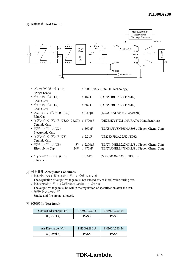

Film Cap.

- **(6) Acceptable Conditions** 1.試験中、5%を超える出力電圧の変動のない事 The regulation of output voltage must not exceed 5% of initial value during test.
	- 2.試験後の出力電圧は初期値から変動していない事
	- The output voltage must be within the regulation of specification after the test. 3.発煙・発火のない事

Smoke and fire are not allowed.

| Contact Discharge (kV) | PH300A280-5 | PH300A280-24 |
|------------------------|-------------|--------------|
| 8 (Level 4)            | PASS        | <b>PASS</b>  |

| Air Discharge (kV) | PH300S280-5 | PH300A280-24 |
|--------------------|-------------|--------------|
| 8 (Level 3)        | PASS        | PASS         |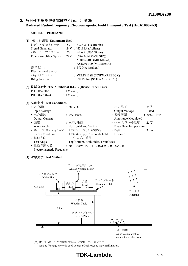#### 2. 放射性無線周波数電磁界イミュニティ試験 **Radiated Radio-Frequency Electromagnetic Field Immunity Test (IEC61000-4-3)**

#### **MODEL : PH300A280**

| (1) 使用計測器 Equipment Used                           |                     |  |                               |  |  |
|----------------------------------------------------|---------------------|--|-------------------------------|--|--|
| シグナルジェネレータ                                         |                     |  | 5V : SWR 20 (Tektronix)       |  |  |
| Signal Generator                                   |                     |  | $24V$ : N5181A (Agilent)      |  |  |
| パワーアンプシステム 5V: BLWA 0830 (Bonn)                    |                     |  |                               |  |  |
| Power Amplifier System                             |                     |  | 24V : CBA 1G-250 (TESEQ)      |  |  |
|                                                    |                     |  | AS0102-100 (MILMEGA)          |  |  |
|                                                    |                     |  | AS1860-100 (MILMEGA)          |  |  |
| 雷界センサ                                              |                     |  | $\therefore$ E9304A (Agilent) |  |  |
| Electric Field Sensor                              |                     |  |                               |  |  |
| バイログアンテナ                                           |                     |  | : VULP9118E (SCHWARZBECK)     |  |  |
| Bilog Antenna                                      |                     |  | STLP9149 (SCHWARZBECK)        |  |  |
|                                                    |                     |  |                               |  |  |
| (2) 供試体台数 The Number of D.U.T. (Device Under Test) |                     |  |                               |  |  |
| PH300A280-5                                        | $: 1 \oplus$ (unit) |  |                               |  |  |
| PH300A280-24                                       | $: 1 \oplus$ (unit) |  |                               |  |  |

| (3) 試験条件 Test Conditions        |                                                     |                               |                   |
|---------------------------------|-----------------------------------------------------|-------------------------------|-------------------|
| • 入力電圧                          | : 280VDC                                            | • 出力電圧                        | :定格               |
| Input Voltage                   |                                                     | Output Voltage                | Rated             |
| • 出力電流                          | $\therefore$ 0%, 100%                               | • 振幅変調                        | $: 80\%$ , 1kHz   |
| <b>Output Current</b>           |                                                     | Amplitude Modulated           |                   |
| ・偏波                             | :水平、垂直                                              | • ベースプレート温度 : 25°C            |                   |
| Wave Angle                      | Horizontal and Vertical                             | <b>Base-Plate Temperature</b> |                   |
| • スイープ·コンディション: 1.0%ステップ、0.5秒保持 |                                                     | • 距離                          | $\therefore$ 3.0m |
| Sweep Condition                 | $1.0\%$ step up, 0.5 seconds hold                   | Distance                      |                   |
| • 試験方向                          | : 上下、左右、前後                                          |                               |                   |
| <b>Test Angle</b>               | Top/Bottom, Both Sides, Front/Back                  |                               |                   |
| • 電磁界周波数                        | : $80 - 1000$ MHz, $1.4 - 2.0$ GHz, $2.0 - 2.7$ GHz |                               |                   |

Electromagnetic Frequency

**(4) Test Method**



(\*) オシロスコープが誤動作する為、アナログ電圧計を使用。 Analog Voltage Meter is used because Oscilloscope may malfunction.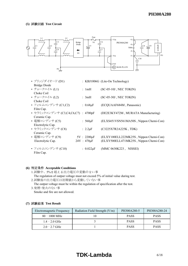

| • ブリッジダイオード (D1)                    |                   | : KBJ1006G (Lite-On Technology)        |
|-------------------------------------|-------------------|----------------------------------------|
| <b>Bridge Diode</b>                 |                   |                                        |
| • チョークコイル (L1)                      | : $1mH$           | $SC-05-10J$ , NEC TOKIN)               |
| Choke Coil                          |                   |                                        |
| • チョークコイル (L2)                      | : $3mH$           | (SC-05-30J, NEC TOKIN)                 |
| Choke Coil                          |                   |                                        |
| • フィルムコンデンサ (C1,C2)                 | : $0.68\mu F$     | (ECQUAAF684M, Panasonic)               |
| Film Cap.                           |                   |                                        |
| • セラミックコンデンサ (C3,C4,C6,C7) : 4700pF |                   | (DE2E3KY472M, MURATA Manufacturing)    |
| Ceramic Cap.                        |                   |                                        |
| • 電解コンデンサ (C5)                      | $: 560 \mu F$     | (ELXS451VSN561MA50S, Nippon Chemi-Con) |
| Electrolytic Cap.                   |                   |                                        |
| • セラミックコンデンサ (C8)                   | : $2.2 \mu F$     | (C3225X7R2A225K, TDK)                  |
| Ceramic Cap.                        |                   |                                        |
| • 電解コンデンサ (C9)                      | $5V : 2200 \mu F$ | (ELXY100ELL222MK25S, Nippon Chemi-Con) |
| Electrolytic Cap.                   | $24V : 470 \mu F$ | (ELXY500ELL471MK25S, Nippon Chemi-Con) |
|                                     |                   |                                        |
| • フィルムコンデンサ (C10)                   | : $0.022\mu F$    | (MMC 0630K223, NISSEI)                 |
| Film Cap.                           |                   |                                        |

#### **(6) Acceptable Conditions**

1.試験中、5%を超える出力電圧の変動のない事

The regulation of output voltage must not exceed 5% of initial value during test. 2.試験後の出力電圧は初期値から変動していない事

The output voltage must be within the regulation of specification after the test.

3.発煙・発火のない事 Smoke and fire are not allowed.

| Electromagnetic Frequency | Radiation Field Strength (V/m) | PH300A280-5 | PH300A280-24 |
|---------------------------|--------------------------------|-------------|--------------|
| $80 - 1000 \text{ MHz}$   |                                | <b>PASS</b> | <b>PASS</b>  |
| $1.4 - 2.0$ GHz           |                                | <b>PASS</b> | <b>PASS</b>  |
| $2.0 - 2.7$ GHz           |                                | <b>PASS</b> | <b>PASS</b>  |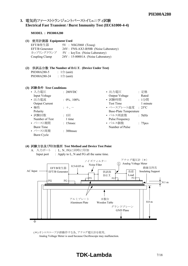#### 3. 電気的ファーストトランジェントバーストイミュニティ試験 **Electrical Fast Transient / Burst Immunity Test (IEC61000-4-4)**

#### **MODEL : PH300A280**

**(1) Equipment Used**

| EFT/B発生器        | $5V : NSG3060$ (Teseq)                |
|-----------------|---------------------------------------|
| EFT/B Generator | 24V : FNS-AX3-B50B (Noise Laboratory) |
| カップリングクランプ      | 5V: keyTex (Noise Laboratory)         |
| Coupling Clamp  | 24V : 15-00001A (Noise Laboratory)    |

#### **(2) The Number of D.U.T. (Device Under Test)** PH300A280-5 :  $1 \oplus$  (unit) PH300A280-24 : 1台 (unit)

#### **(3) Test Conditions**

| • 入力電圧                | : 280VDC              | • 出力電圧                        | : 定格                |
|-----------------------|-----------------------|-------------------------------|---------------------|
| Input Voltage         |                       | Output Voltage                | Rated               |
| • 出力電流                | : $0\%$ , $100\%$     | • 試験時間                        | : 1分間               |
| <b>Output Current</b> |                       | <b>Test Time</b>              | 1 minute            |
| • 極性                  | $+$ , $-$             | • ベースプレート温度 : 25°C            |                     |
| Polarity              |                       | <b>Base-Plate Temperature</b> |                     |
| • 試験回数                | $: 1 \square$         | • パルス周波数                      | : 5 $kHz$           |
| Number of Test        | 1 time                | Pulse Frequency               |                     |
| • バースト期間              | $: 15$ msec           | • パルス個数                       | : 75 <sub>pcs</sub> |
| <b>Burst Time</b>     |                       | Number of Pulse               |                     |
| • バースト周期              | $\therefore$ 300 msec |                               |                     |
| Burst Cycle           |                       |                               |                     |

#### **(4) Test Method and Device Test Point**

A. 入力ポート : L、N、FGに同時に印加 Input port : Apply to L, N and FG all the same time.



(\*) オシロスコープが誤動作する為、アナログ電圧計を使用。 Analog Voltage Meter is used because Oscilloscope may malfunction.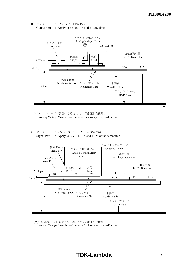B. 出力ポート : +V、-Vに同時に印加 Output port  $\therefore$  Apply to +V and -V at the same time.



(\*)オシロスコープが誤動作する為、アナログ電圧計を使用。 Analog Voltage Meter is used because Oscilloscope may malfunction.

C. 信号ポート : CNT、+S、-S、TRMに同時に印加 Signal Port : Apply to CNT, +S, -S and TRM at the same time.



(\*)オシロスコープが誤動作する為、アナログ電圧計を使用。 Analog Voltage Meter is used because Oscilloscope may malfunction.

## **TDK-Lambda** 8/18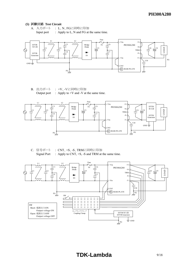A. 入力ポート : L、N、FGに同時に印加 Input port : Apply to L, N and FG at the same time.



B. 出力ポート : +V、-Vに同時に印加 Output port  $\therefore$  Apply to +V and -V at the same time.



C. 信号ポート : CNT、+S、-S、TRMに同時に印加 Signal Port : Apply to CNT, +S, -S and TRM at the same time.

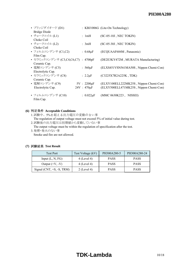| • ブリッジダイオード (D1)                    |                   | : KBJ1006G (Lite-On Technology)        |
|-------------------------------------|-------------------|----------------------------------------|
| <b>Bridge Diode</b>                 |                   |                                        |
| • チョークコイル (L1)                      | : $1mH$           | $SC-05-10J$ , NEC TOKIN)               |
| Choke Coil                          |                   |                                        |
| • チョークコイル (L2)                      | : $3mH$           | $(SC-05-30J, NEC TOKIN)$               |
| Choke Coil                          |                   |                                        |
| • フィルムコンデンサ (C1,C2)                 | : $0.68\mu F$     | (ECQUAAF684M, Panasonic)               |
| Film Cap.                           |                   |                                        |
| • セラミックコンデンサ (C3,C4,C6,C7) : 4700pF |                   | (DE2E3KY472M, MURATA Manufacturing)    |
| Ceramic Cap.                        |                   |                                        |
| • 電解コンデンサ (C5)                      | : 560 $\mu$ F     | (ELXS451VSN561MA50S, Nippon Chemi-Con) |
| Electrolytic Cap.                   |                   |                                        |
| • セラミックコンデンサ (C8)                   | : $2.2 \mu F$     | (C3225X7R2A225K, TDK)                  |
| Ceramic Cap.                        |                   |                                        |
| • 電解コンデンサ (C9)                      | $5V : 2200 \mu F$ | (ELXY100ELL222MK25S, Nippon Chemi-Con) |
| Electrolytic Cap.                   | $24V : 470 \mu F$ | (ELXY500ELL471MK25S, Nippon Chemi-Con) |
|                                     |                   |                                        |
| • フィルムコンデンサ (C10)                   | : $0.022\mu F$    | (MMC 0630K223, NISSEI)                 |
| Film Cap.                           |                   |                                        |

#### **(6) Acceptable Conditions**

1.試験中、5%を超える出力電圧の変動のない事 The regulation of output voltage must not exceed 5% of initial value during test.

- 2.試験後の出力電圧は初期値から変動していない事
- The output voltage must be within the regulation of specification after the test.
- 3.発煙・発火のない事

Smoke and fire are not allowed.

| <b>Test Port</b>            | Test Voltage (kV) | PH300A280-5 | PH300A280-24 |
|-----------------------------|-------------------|-------------|--------------|
| Input $(L, N, FG)$          | $4$ (Level 4)     | <b>PASS</b> | <b>PASS</b>  |
| Output $(+V, -V)$           | $4$ (Level 4)     | <b>PASS</b> | <b>PASS</b>  |
| Signal $(CNT, +S, -S, TRM)$ | $2$ (Level 4)     | <b>PASS</b> | <b>PASS</b>  |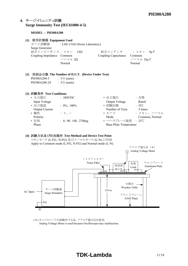### **4. Surge Immunity Test (IEC61000-4-5)**

#### **MODEL : PH300A280**

| (1) 使用計測器 Equipment Used<br>Surge Generator<br>結合インピーダンス: コモン 12Ω<br>Coupling Impedance Common                              | サージ試験器 : LSS-15AS (Noise Laboratory)<br>ノーマル 20<br>Normal                             | 結合コンデンサ : コモン 9μF<br>Coupling Capacitance Common                                                                   | ノーマル 18µF<br>Normal                                                             |
|-----------------------------------------------------------------------------------------------------------------------------|---------------------------------------------------------------------------------------|--------------------------------------------------------------------------------------------------------------------|---------------------------------------------------------------------------------|
| PH300A280-5<br>PH300A280-24 : $3\hat{=}$ (units)                                                                            | (2) 供試品台数 The Number of D.U.T. (Device Under Test)<br>$\therefore$ 3 $\oplus$ (units) |                                                                                                                    |                                                                                 |
| (3) 試験条件 Test Conditions<br>• 入力雷圧<br>Input Voltage<br>• 出力電流<br><b>Output Current</b><br>• 極性<br>Polarity<br>• 位相<br>Phase | $\sim 280 VDC$<br>$: 0\%$ , 100%<br>$+$ , $-$<br>$: 0, 90, 180, 270$ deg              | • 出力電圧 しんしょう<br>Output Voltage<br>• 試験回数<br>Number of Tests<br>Mode<br>• ベースプレート温度 : 25℃<br>Base-Plate Temperature | : 定格<br>Rated<br>$: 5 \square$<br>5 times<br>• モード : コモン、ノーマル<br>Common, Normal |

#### **(4) Test Method and Device Test Point** コモンモード (L-FG、N-FG) 及びノーマルモード (L-N) に印加

Apply to Common mode (L-FG, N-FG) and Normal mode (L-N).



(\*) オシロスコープが誤動作する為、アナログ電圧計を使用。 Analog Voltage Meter is used because Oscilloscope may malfunction.

## **TDK-Lambda** 11/18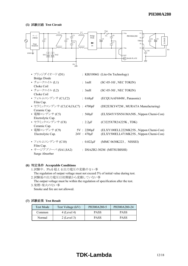

#### **(6) Acceptable Conditions**

- 1.試験中、5%を超える出力電圧の変動のない事 The regulation of output voltage must not exceed 5% of initial value during test. 2.試験後の出力電圧は初期値から変動していない事
- The output voltage must be within the regulation of specification after the test. 3.発煙・発火のない事

Smoke and fire are not allowed.

#### **(7) Test Result**

| <b>Test Mode</b> | Test Voltage (kV) | PH300A280-5 | PH300A280-24 |
|------------------|-------------------|-------------|--------------|
| Common           | $4$ (Level 4)     | <b>PASS</b> | <b>PASS</b>  |
| Normal           | $2$ (Level 3)     | <b>PASS</b> | <b>PASS</b>  |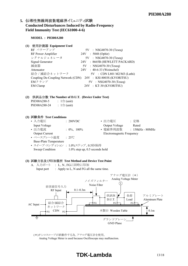#### 5. 伝導性無線周波数電磁界イミュニティ試験 **Conducted Disturbances Induced by Radio-Frequency Field Immunity Test (IEC61000-4-6)**

**MODEL : PH300A280**

**(1) Equipment Used**

| RF パワーアンプ          | $5V$ : NSG4070-30 (Teseq)                                     |
|--------------------|---------------------------------------------------------------|
| RF Power Amplifier | 24V : 5048 (Ophir)                                            |
| シグナルジェネレータ         | 5V : NSG4070-30 (Teseq)                                       |
| Signal Generator   | $: 8665B$ (HEWLETT PACKARD)<br>24V                            |
| 減衰器                | 5V : NSG4070-30 (Teseq)                                       |
| Attenuator         | 24V : 40-6-33 (Weinschel)                                     |
| 結合 / 減結合ネットワーク     | $5V$ : CDN L801 M2/M3 (Luthi)                                 |
|                    | Coupling De-Coupling Network (CDN) 24V : KSI-8003S (KYORITSU) |
| EMクランプ             | 5V : NSG4070-30 (Teseq)                                       |
| <b>EM Clamp</b>    | 24V : KT-30 (KYORITSU)                                        |

#### **(2) The Number of D.U.T. (Device Under Test)** PH300A280-5 :  $1 \oplus$  (unit) PH300A280-24 : 1台 (unit)

**(3) Test Conditions**

| • 入力電圧                        | : 280VDC                          | • 出力電圧                    | : 定格               |
|-------------------------------|-----------------------------------|---------------------------|--------------------|
| Input Voltage                 |                                   | Output Voltage            | Rated              |
| • 出力電流                        | : $0\%$ , $100\%$                 | • 電磁界周波数                  | $: 150kHz - 80MHz$ |
| <b>Output Current</b>         |                                   | Electromagnetic Frequency |                    |
| • ベースプレート温度                   | $\therefore 25^{\circ}$ C         |                           |                    |
| <b>Base-Plate Temperature</b> |                                   |                           |                    |
|                               | • スイープ コンディション : 1.0%ステップ、0.5秒保持  |                           |                    |
| Sweep Condition               | $1.0\%$ step up, 0.5 seconds hold |                           |                    |

#### **(3) Test Method and Device Test Point**

A. 入力ポート : L、N、FGに同時に印加 Input port : Apply to L, N and FG all the same time.



(\*)オシロスコープが誤動作する為、アナログ電圧計を使用。 Analog Voltage Meter is used because Oscilloscope may malfunction.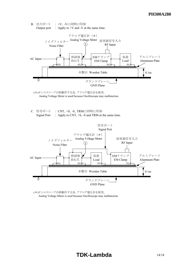



C. 信号ポート : CNT、+S、-S、TRMに同時に印加 Signal Port : Apply to CNT,  $+S$ , -S and TRM at the same time.



(\*)オシロスコープが誤動作する為、アナログ電圧計を使用。 Analog Voltage Meter is used because Oscilloscope may malfunction.

## **TDK-Lambda** 14/18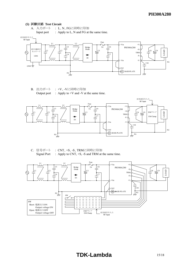



B. 出力ポート : +V、-Vに同時に印加 Output port  $\therefore$  Apply to +V and -V at the same time.



C. 信号ポート : CNT、+S、-S、TRMに同時に印加 Signal Port : Apply to CNT,  $+S$ ,  $-S$  and TRM at the same time.

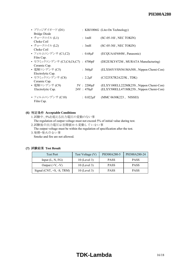| • ブリッジダイオード (D1)                    |                   | : KBJ1006G (Lite-On Technology)        |
|-------------------------------------|-------------------|----------------------------------------|
| Bridge Diode                        |                   |                                        |
| • チョークコイル (L1)                      | : $1mH$           | $SC-05-10J$ , NEC TOKIN)               |
| Choke Coil                          |                   |                                        |
| • チョークコイル (L2)                      | : $3mH$           | $SC-05-30J$ , NEC TOKIN)               |
| Choke Coil                          |                   |                                        |
| • フィルムコンデンサ (C1,C2)                 | : $0.68\mu$ F     | (ECQUAAF684M, Panasonic)               |
| Film Cap.                           |                   |                                        |
| • セラミックコンデンサ (C3,C4,C6,C7) : 4700pF |                   | (DE2E3KY472M, MURATA Manufacturing)    |
| Ceramic Cap.                        |                   |                                        |
| • 電解コンデンサ (C5)                      | $: 560 \mu F$     | (ELXS451VSN561MA50S, Nippon Chemi-Con) |
| Electrolytic Cap.                   |                   |                                        |
| • セラミックコンデンサ (C8)                   | : $2.2 \mu F$     | (C3225X7R2A225K, TDK)                  |
| Ceramic Cap.                        |                   |                                        |
| • 電解コンデンサ (C9)                      | $5V : 2200 \mu F$ | (ELXY100ELL222MK25S, Nippon Chemi-Con) |
| Electrolytic Cap.                   | $24V : 470 \mu F$ | (ELXY500ELL471MK25S, Nippon Chemi-Con) |
|                                     |                   |                                        |
| • フィルムコンデンサ (C10)                   | : $0.022 \mu F$   | (MMC 0630K223, NISSEI)                 |
| Film Cap.                           |                   |                                        |

#### **(6) Acceptable Conditions**

- 1.試験中、5%を超える出力電圧の変動のない事
- The regulation of output voltage must not exceed 5% of initial value during test.
- 2.試験後の出力電圧は初期値から変動していない事 The output voltage must be within the regulation of specification after the test.
- 3.発煙・発火のない事 Smoke and fire are not allowed.

| <b>Test Port</b>            | Test Voltage (V) | PH300A280-5 | PH300A280-24 |
|-----------------------------|------------------|-------------|--------------|
| Input $(L, N, FG)$          | $10$ (Level 3)   | <b>PASS</b> | <b>PASS</b>  |
| Output $(+V, -V)$           | $10$ (Level 3)   | <b>PASS</b> | <b>PASS</b>  |
| Signal $(CNT, +S, -S, TRM)$ | $10$ (Level 3)   | <b>PASS</b> | <b>PASS</b>  |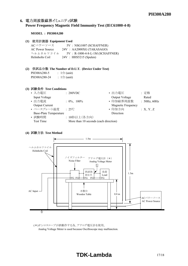#### 6. 電力周波数磁界イミュニティ試験 **Power Frequency Magnetic Field Immunity Test (IEC61000-4-8)**

#### **MODEL : PH300A280**

#### **(1) Equipment Used**

ACパワーソース 5V : NSG1007 (SCHAFFNER) AC Power Source 24V : AA2000XG (TAKASAGO) ヘルムホルツコイル 5V : R-1000-4-8-L-1M (SCHAFFNER) Helmholts Coil 24V : HHS5215 (Spulen)

#### **(2) The Number of D.U.T. (Device Under Test)** PH300A280-5 : 1台 (unit) PH300A280-24 :  $1 \oplus$  (unit)

#### **(3) Test Conditions**

| • 入力電圧                        | : 280VDC                              | • 出力電圧                    | : 定格         |
|-------------------------------|---------------------------------------|---------------------------|--------------|
| Input Voltage                 |                                       | Output Voltage            | Rated        |
| • 出力電流                        | $: 0\%$ , 100%                        | • 印加磁界周波数                 | : 50Hz, 60Hz |
| <b>Output Current</b>         |                                       | <b>Magnetic Frequency</b> |              |
| • ベースプレート温度                   | $\cdot$ 25°C                          | • 印加方向                    | :X, Y, Z     |
| <b>Base-Plate Temperature</b> |                                       | Direction                 |              |
| • 試験時間                        | : 10秒以上(各方向)                          |                           |              |
| <b>Test Time</b>              | More than 10 seconds (each direction) |                           |              |

#### **(4) Test Method**



(\*)オシロスコープが誤動作する為、アナログ電圧計を使用。 Analog Voltage Meter is used because Oscilloscope may malfunction.

## **TDK-Lambda** 17/18